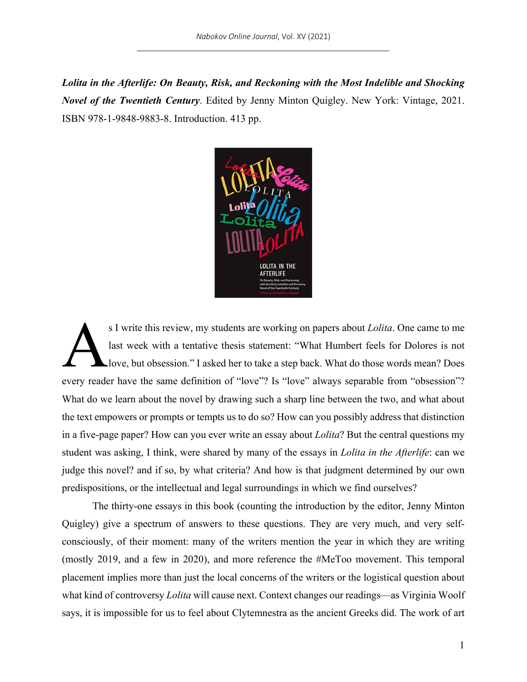*Lolita in the Afterlife: On Beauty, Risk, and Reckoning with the Most Indelible and Shocking Novel of the Twentieth Century*. Edited by Jenny Minton Quigley. New York: Vintage, 2021. ISBN 978-1-9848-9883-8. Introduction. 413 pp.



s I write this review, my students are working on papers about *Lolita*. One came to me last week with a tentative thesis statement: "What Humbert feels for Dolores is not love, but obsession." I asked her to take a step back. What do those words mean? Does every reader have the same definition of "love"? Is "love" always separable from "obsession"? What do we learn about the novel by drawing such a sharp line between the two, and what about the text empowers or prompts or tempts us to do so? How can you possibly address that distinction in a five-page paper? How can you ever write an essay about *Lolita*? But the central questions my student was asking, I think, were shared by many of the essays in *Lolita in the Afterlife*: can we judge this novel? and if so, by what criteria? And how is that judgment determined by our own predispositions, or the intellectual and legal surroundings in which we find ourselves? A

The thirty-one essays in this book (counting the introduction by the editor, Jenny Minton Quigley) give a spectrum of answers to these questions. They are very much, and very selfconsciously, of their moment: many of the writers mention the year in which they are writing (mostly 2019, and a few in 2020), and more reference the #MeToo movement. This temporal placement implies more than just the local concerns of the writers or the logistical question about what kind of controversy *Lolita* will cause next. Context changes our readings—as Virginia Woolf says, it is impossible for us to feel about Clytemnestra as the ancient Greeks did. The work of art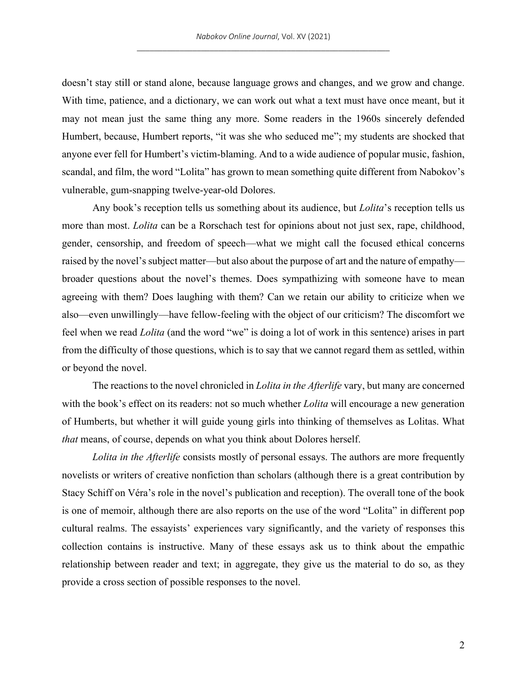doesn't stay still or stand alone, because language grows and changes, and we grow and change. With time, patience, and a dictionary, we can work out what a text must have once meant, but it may not mean just the same thing any more. Some readers in the 1960s sincerely defended Humbert, because, Humbert reports, "it was she who seduced me"; my students are shocked that anyone ever fell for Humbert's victim-blaming. And to a wide audience of popular music, fashion, scandal, and film, the word "Lolita" has grown to mean something quite different from Nabokov's vulnerable, gum-snapping twelve-year-old Dolores.

Any book's reception tells us something about its audience, but *Lolita*'s reception tells us more than most. *Lolita* can be a Rorschach test for opinions about not just sex, rape, childhood, gender, censorship, and freedom of speech—what we might call the focused ethical concerns raised by the novel's subject matter—but also about the purpose of art and the nature of empathy broader questions about the novel's themes. Does sympathizing with someone have to mean agreeing with them? Does laughing with them? Can we retain our ability to criticize when we also—even unwillingly—have fellow-feeling with the object of our criticism? The discomfort we feel when we read *Lolita* (and the word "we" is doing a lot of work in this sentence) arises in part from the difficulty of those questions, which is to say that we cannot regard them as settled, within or beyond the novel.

The reactions to the novel chronicled in *Lolita in the Afterlife* vary, but many are concerned with the book's effect on its readers: not so much whether *Lolita* will encourage a new generation of Humberts, but whether it will guide young girls into thinking of themselves as Lolitas. What *that* means, of course, depends on what you think about Dolores herself.

*Lolita in the Afterlife* consists mostly of personal essays. The authors are more frequently novelists or writers of creative nonfiction than scholars (although there is a great contribution by Stacy Schiff on Véra's role in the novel's publication and reception). The overall tone of the book is one of memoir, although there are also reports on the use of the word "Lolita" in different pop cultural realms. The essayists' experiences vary significantly, and the variety of responses this collection contains is instructive. Many of these essays ask us to think about the empathic relationship between reader and text; in aggregate, they give us the material to do so, as they provide a cross section of possible responses to the novel.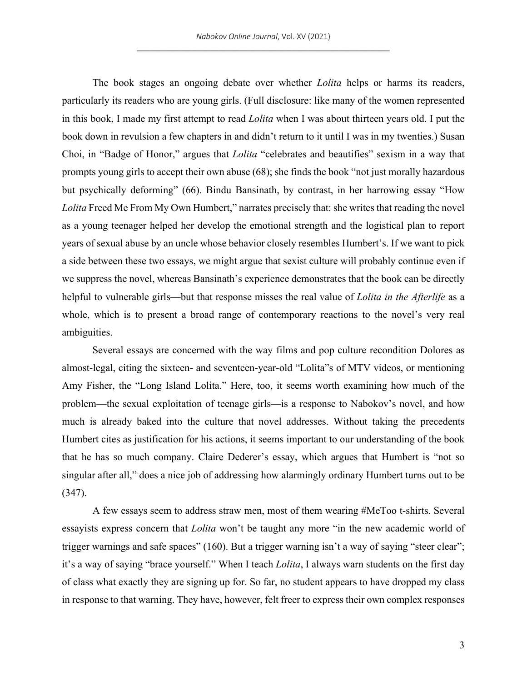The book stages an ongoing debate over whether *Lolita* helps or harms its readers, particularly its readers who are young girls. (Full disclosure: like many of the women represented in this book, I made my first attempt to read *Lolita* when I was about thirteen years old. I put the book down in revulsion a few chapters in and didn't return to it until I was in my twenties.) Susan Choi, in "Badge of Honor," argues that *Lolita* "celebrates and beautifies" sexism in a way that prompts young girls to accept their own abuse (68); she finds the book "not just morally hazardous but psychically deforming" (66). Bindu Bansinath, by contrast, in her harrowing essay "How *Lolita* Freed Me From My Own Humbert," narrates precisely that: she writes that reading the novel as a young teenager helped her develop the emotional strength and the logistical plan to report years of sexual abuse by an uncle whose behavior closely resembles Humbert's. If we want to pick a side between these two essays, we might argue that sexist culture will probably continue even if we suppress the novel, whereas Bansinath's experience demonstrates that the book can be directly helpful to vulnerable girls—but that response misses the real value of *Lolita in the Afterlife* as a whole, which is to present a broad range of contemporary reactions to the novel's very real ambiguities.

Several essays are concerned with the way films and pop culture recondition Dolores as almost-legal, citing the sixteen- and seventeen-year-old "Lolita"s of MTV videos, or mentioning Amy Fisher, the "Long Island Lolita." Here, too, it seems worth examining how much of the problem—the sexual exploitation of teenage girls—is a response to Nabokov's novel, and how much is already baked into the culture that novel addresses. Without taking the precedents Humbert cites as justification for his actions, it seems important to our understanding of the book that he has so much company. Claire Dederer's essay, which argues that Humbert is "not so singular after all," does a nice job of addressing how alarmingly ordinary Humbert turns out to be (347).

A few essays seem to address straw men, most of them wearing #MeToo t-shirts. Several essayists express concern that *Lolita* won't be taught any more "in the new academic world of trigger warnings and safe spaces" (160). But a trigger warning isn't a way of saying "steer clear"; it's a way of saying "brace yourself." When I teach *Lolita*, I always warn students on the first day of class what exactly they are signing up for. So far, no student appears to have dropped my class in response to that warning. They have, however, felt freer to express their own complex responses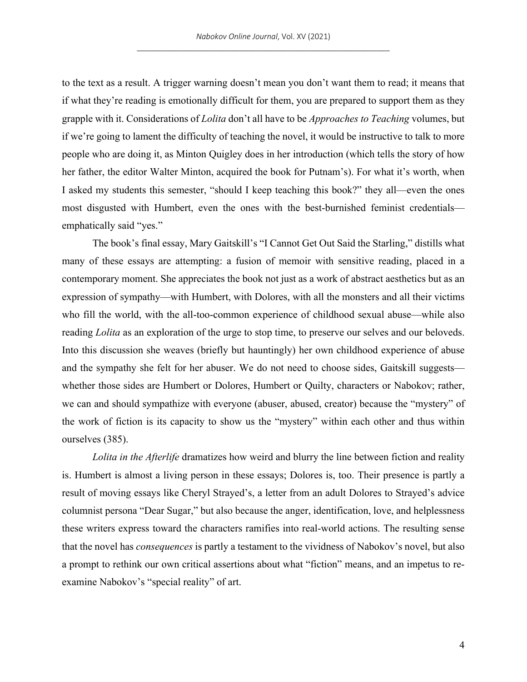to the text as a result. A trigger warning doesn't mean you don't want them to read; it means that if what they're reading is emotionally difficult for them, you are prepared to support them as they grapple with it. Considerations of *Lolita* don't all have to be *Approaches to Teaching* volumes, but if we're going to lament the difficulty of teaching the novel, it would be instructive to talk to more people who are doing it, as Minton Quigley does in her introduction (which tells the story of how her father, the editor Walter Minton, acquired the book for Putnam's). For what it's worth, when I asked my students this semester, "should I keep teaching this book?" they all—even the ones most disgusted with Humbert, even the ones with the best-burnished feminist credentials emphatically said "yes."

The book's final essay, Mary Gaitskill's "I Cannot Get Out Said the Starling," distills what many of these essays are attempting: a fusion of memoir with sensitive reading, placed in a contemporary moment. She appreciates the book not just as a work of abstract aesthetics but as an expression of sympathy—with Humbert, with Dolores, with all the monsters and all their victims who fill the world, with the all-too-common experience of childhood sexual abuse—while also reading *Lolita* as an exploration of the urge to stop time, to preserve our selves and our beloveds. Into this discussion she weaves (briefly but hauntingly) her own childhood experience of abuse and the sympathy she felt for her abuser. We do not need to choose sides, Gaitskill suggests whether those sides are Humbert or Dolores, Humbert or Quilty, characters or Nabokov; rather, we can and should sympathize with everyone (abuser, abused, creator) because the "mystery" of the work of fiction is its capacity to show us the "mystery" within each other and thus within ourselves (385).

*Lolita in the Afterlife* dramatizes how weird and blurry the line between fiction and reality is. Humbert is almost a living person in these essays; Dolores is, too. Their presence is partly a result of moving essays like Cheryl Strayed's, a letter from an adult Dolores to Strayed's advice columnist persona "Dear Sugar," but also because the anger, identification, love, and helplessness these writers express toward the characters ramifies into real-world actions. The resulting sense that the novel has *consequences* is partly a testament to the vividness of Nabokov's novel, but also a prompt to rethink our own critical assertions about what "fiction" means, and an impetus to reexamine Nabokov's "special reality" of art.